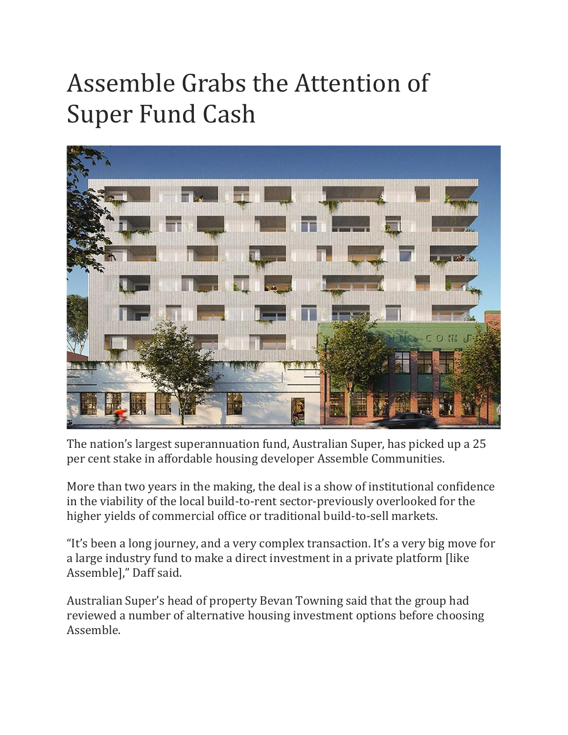## Assemble Grabs the Attention of Super Fund Cash



The nation's largest superannuation fund, Australian Super, has picked up a 25 per cent stake in affordable housing developer Assemble Communities.

More than two years in the making, the deal is a show of institutional confidence in the viability of the local build-to-rent sector-previously overlooked for the higher yields of commercial office or traditional build-to-sell markets.

"It's been a long journey, and a very complex transaction. It's a very big move for a large industry fund to make a direct investment in a private platform [like Assemble]," Daff said.

Australian Super's head of property Bevan Towning said that the group had reviewed a number of alternative housing investment options before choosing Assemble.